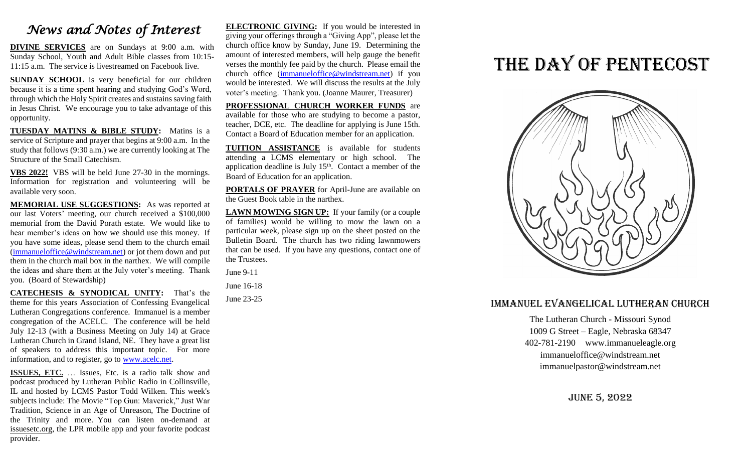## *News and Notes of Interest*

**DIVINE SERVICES** are on Sundays at 9:00 a.m. with Sunday School, Youth and Adult Bible classes from 10:15- 11:15 a.m. The service is livestreamed on Facebook live.

**SUNDAY SCHOOL** is very beneficial for our children because it is a time spent hearing and studying God's Word, through which the Holy Spirit creates and sustains saving faith in Jesus Christ. We encourage you to take advantage of this opportunity.

**TUESDAY MATINS & BIBLE STUDY:** Matins is a service of Scripture and prayer that begins at 9:00 a.m. In the study that follows (9:30 a.m.) we are currently looking at The Structure of the Small Catechism.

**VBS 2022!** VBS will be held June 27-30 in the mornings. Information for registration and volunteering will be available very soon.

**MEMORIAL USE SUGGESTIONS:** As was reported at our last Voters' meeting, our church received a \$100,000 memorial from the David Porath estate. We would like to hear member's ideas on how we should use this money. If you have some ideas, please send them to the church email [\(immanueloffice@windstream.net\)](mailto:immanueloffice@windstream.net) or jot them down and put them in the church mail box in the narthex. We will compile the ideas and share them at the July voter's meeting. Thank you. (Board of Stewardship)

**CATECHESIS & SYNODICAL UNITY:** That's the theme for this years Association of Confessing Evangelical Lutheran Congregations conference. Immanuel is a member congregation of the ACELC. The conference will be held July 12-13 (with a Business Meeting on July 14) at Grace Lutheran Church in Grand Island, NE. They have a great list of speakers to address this important topic. For more information, and to register, go to [www.acelc.net.](http://www.acelc.net/)

**ISSUES, ETC.** … Issues, Etc. is a radio talk show and podcast produced by Lutheran Public Radio in Collinsville, IL and hosted by LCMS Pastor Todd Wilken. This week's subjects include: The Movie "Top Gun: Maverick," Just War Tradition, Science in an Age of Unreason, The Doctrine of the Trinity and more. You can listen on-demand at [issuesetc.org,](http://r20.rs6.net/tn.jsp?f=001XltHUglAGihDwKg2LCVDVVAySCwUycj-pcDpmmbN6wc1op0BVtNrpeqRkDfWfRAR5HynrRwLD83UqUIEJFPoiyUbb9oq-5NovlALbsX07AGF4oYdP5zeLv9V3GeLojzC1uT1hueIv5zkEmdvlnbsrg==&c=EiyJYE_hckiSK1t9SJM8ARW6CIGIMPcJnNCoGIwRdJwORtvjHVDj6w==&ch=VWkUhocZc5I58mtUGYB_xdpIOWFrqcpl3qqqaxS1LlOA7ypD-yH3kg==) the LPR mobile app and your favorite podcast provider.

**ELECTRONIC GIVING:** If you would be interested in giving your offerings through a "Giving App", please let the church office know by Sunday, June 19. Determining the amount of interested members, will help gauge the benefit verses the monthly fee paid by the church. Please email the church office [\(immanueloffice@windstream.net\)](mailto:immanueloffice@windstream.net) if you would be interested. We will discuss the results at the July voter's meeting. Thank you. (Joanne Maurer, Treasurer)

**PROFESSIONAL CHURCH WORKER FUNDS** are available for those who are studying to become a pastor, teacher, DCE, etc. The deadline for applying is June 15th. Contact a Board of Education member for an application.

**TUITION ASSISTANCE** is available for students attending a LCMS elementary or high school. The application deadline is July  $15<sup>th</sup>$ . Contact a member of the Board of Education for an application.

**PORTALS OF PRAYER** for April-June are available on the Guest Book table in the narthex.

**LAWN MOWING SIGN UP:** If your family (or a couple of families) would be willing to mow the lawn on a particular week, please sign up on the sheet posted on the Bulletin Board. The church has two riding lawnmowers that can be used. If you have any questions, contact one of the Trustees.

June 9-11

June 16-18

June 23-25

# THE DAY OF PENTECOST



#### Immanuel Evangelical Lutheran Church

The Lutheran Church - Missouri Synod 1009 G Street – Eagle, Nebraska 68347 402-781-2190 www.immanueleagle.org [immanueloffice@windstream.net](mailto:immanueloffice@windstream.net) [immanuelpastor@windstream.net](mailto:immanuelpastor@windstream.net)

June 5, 2022